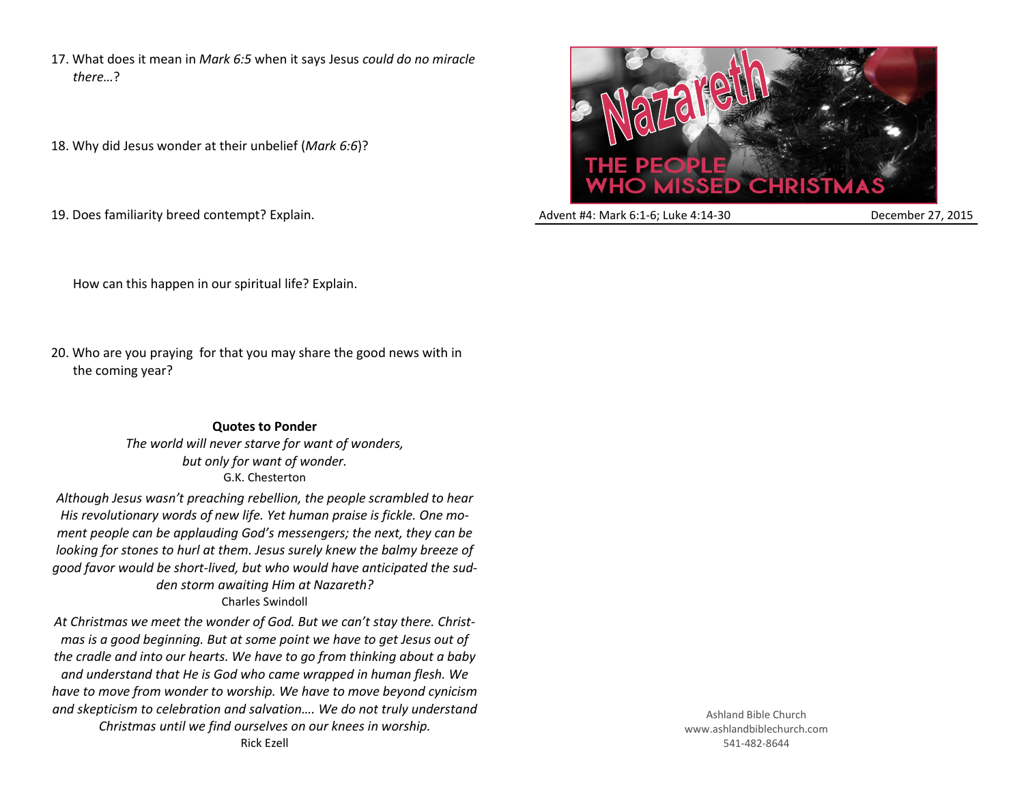17. What does it mean in *Mark 6:5* when it says Jesus *could do no miracle there…*?

18. Why did Jesus wonder at their unbelief (*Mark 6:6*)?

19. Does familiarity breed contempt? Explain.



Advent #4: Mark 6:1-6; Luke 4:14-30 December 27, 2015

How can this happen in our spiritual life? Explain.

20. Who are you praying for that you may share the good news with in the coming year?

> **Quotes to Ponder** *The world will never starve for want of wonders, but only for want of wonder.* G.K. Chesterton

*Although Jesus wasn't preaching rebellion, the people scrambled to hear His revolutionary words of new life. Yet human praise is fickle. One moment people can be applauding God's messengers; the next, they can be looking for stones to hurl at them. Jesus surely knew the balmy breeze of good favor would be short-lived, but who would have anticipated the sudden storm awaiting Him at Nazareth?* Charles Swindoll

*At Christmas we meet the wonder of God. But we can't stay there. Christmas is a good beginning. But at some point we have to get Jesus out of the cradle and into our hearts. We have to go from thinking about a baby and understand that He is God who came wrapped in human flesh. We have to move from wonder to worship. We have to move beyond cynicism and skepticism to celebration and salvation…. We do not truly understand Christmas until we find ourselves on our knees in worship.* Rick Ezell

Ashland Bible Church www.ashlandbiblechurch.com 541-482-8644